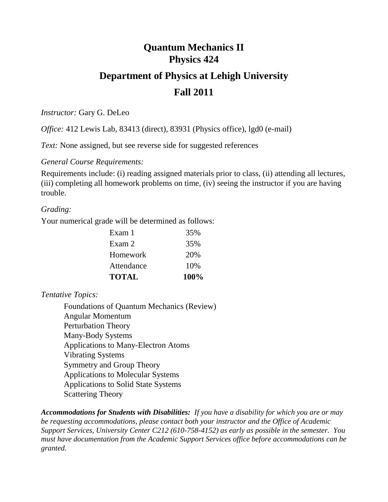# **Quantum Mechanics II Physics 424**

# **Department of Physics at Lehigh University Fall 2011**

*Instructor:* Gary G. DeLeo

*Office:* 412 Lewis Lab, 83413 (direct), 83931 (Physics office), lgd0 (e-mail)

*Text:* None assigned, but see reverse side for suggested references

*General Course Requirements:*

Requirements include: (i) reading assigned materials prior to class, (ii) attending all lectures, (iii) completing all homework problems on time, (iv) seeing the instructor if you are having trouble.

# *Grading:*

Your numerical grade will be determined as follows:

| <b>TOTAL</b> | 100% |
|--------------|------|
| Attendance   | 10%  |
| Homework     | 20%  |
| Exam 2       | 35%  |
| Exam 1       | 35%  |

*Tentative Topics:*

Foundations of Quantum Mechanics (Review) Angular Momentum Perturbation Theory Many-Body Systems Applications to Many-Electron Atoms Vibrating Systems Symmetry and Group Theory Applications to Molecular Systems Applications to Solid State Systems Scattering Theory

*Accommodations for Students with Disabilities: If you have a disability for which you are or may be requesting accommodations, please contact both your instructor and the Office of Academic Support Services, University Center C212 (610-758-4152) as early as possible in the semester. You must have documentation from the Academic Support Services office before accommodations can be granted.*